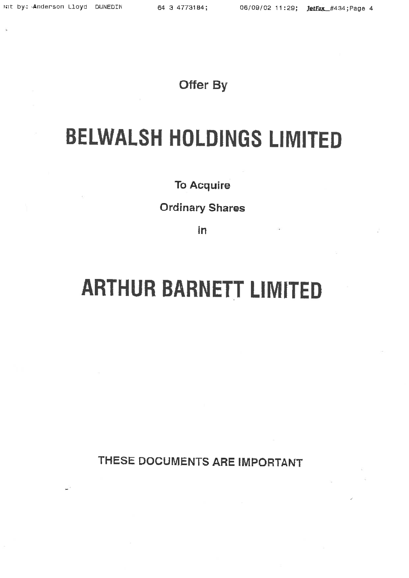# Offer By

# BELWALSH HOLDINGS LIMITED

# To Acquire

# Ordinary Shares

in

# ARTHUR BARNETT LIMITED

THESE DOCUMENTS ARE IMPORTANT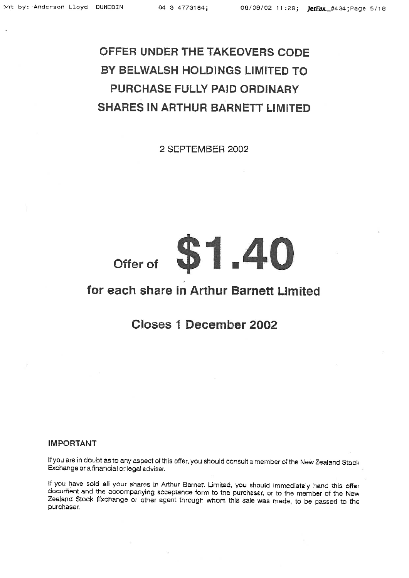# OFFER UNDER THE TAKEOVERS CODE BY BELWALSH HOLDINGS LIMITED TO PURCHASE FULLY PAID ORDINARY SHARES IN ARTHUR BARNETT LIMITED

2 SEPTEMBER 2002

# Offer of \$1.40

# for each share in Arthur Barnett Limited

# Closes 1 December 2002

# IMPORTANT

If you are in doubt as to any aspect of this offer, you should consult a member of the New Zealand Stock Exchange or afinancial or legal adviser.

If you have sold all your shares in Arthur Barnett Limited, you should immediately hand this offer document and the accompanying acceptance form to the purchaser, or to the member of the New Zealand Stock Exchange or other agent through whom this sale was made, to be passed to the purchaser.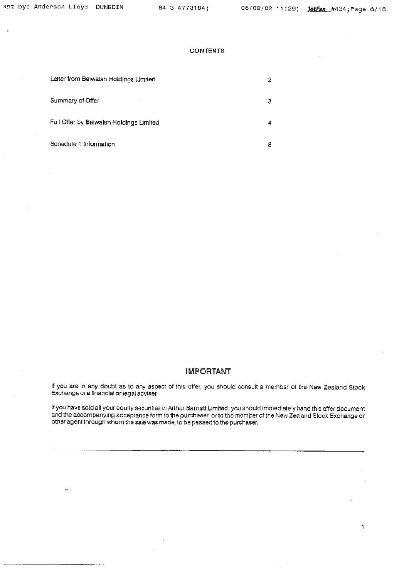$\mathbf 1$ 

# **CONTENTS**

| Letter from Belwalsh Holdings Limited   | 2 |
|-----------------------------------------|---|
| Summary of Offer                        | Э |
| Full Offer by Belwalsh Holdings Limited | 4 |
| Schedule 1 Information                  | 8 |

# IMPORTANT

If you are in any doubt as to any aspect of this offer, you should consult a member of the New Zealand Stock Exchange ora financial or legal adviser.

If you have sold all your equity securities in Arthur Barnett Limited, you should immediately hand this offer document and the accompanying acceptance form to the purchaser, or to the member of the New Zealand Stock Exchange or other agent through whom the sale was made, to be passed to the purchaser.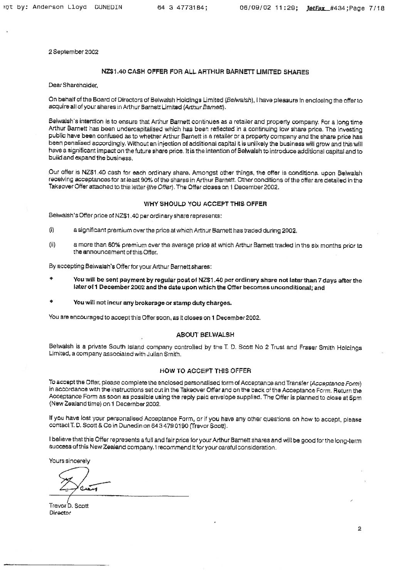2 September 20Q2

# NZ\$1.40 CASH OFFER FOR ALL ARTHUR BARNETT LIMITED SHARES

DearShareholder,

On behalf of the Board of Directors of Belwalsh Holdings Limited (Belwalsh), I have pleasure in enclosing the offer to acquire all of your shares in Arthur Barnett Limited (Arthur Barnett).

Belwatsh's intention is to ensure that Arthur Barnett continues as a retailer and property company, For a long time Arthur Barnett has been undercapitalised which has been reflected in a continuing low share price. The investing public have been confused as to whether Arthur Barnett is a retailer or a property company and the share price has been penalised accordingly. Without an injection of additional capital it is unlikely the business will grow and this will have a significant impact on the future share price, It is the intention of Belwalsh to introduce additional capital and to build and expand the business.

Our offer is NZ\$1.40 cash for each ordinary share. Amongst other things, the offer is conditions, upon Belwalsh receiving acceptances for at least 90% of the shares in Arthur Bamett. Other conditions of the offer are detailed in the Takeover Offer attached to this letter (the Offer). The Offer closes on 1 December 2002,

## WHY SHOULD YOU ACCEPT THIS OFFER

Belwaish's Offer price of N2\$1 ,4Q per ordinary share represenis:

- (i) a significant premium over the price at which Arthur Barnett has traded during 2002,
- (ii) a more than 60% premium over The average price at which Arthur Bamett traded in the six months prior to the announcement of this Offer,

By accepting Belwaish's Offerfor your Arthur Barnett shares:

- You will be sent payment by regular post of NZ\$1.40 per ordinary share not later than 7 days after the later of 1 December 2002 and the date upon which the Offer becomes unconditional; and
- You will not incur any brokerage or stamp duty charges.

You are encouraged to accept this Offer soon, as it closes on 1 December 2002.

# ABOUT BELWALSH

Belwalsh is a private South Island company controlled by the T. D. Scott No 2 Trust and Fraser Smith Holcings LimilBd, a company associated with Julian Smith.

# HOW TO ACCEPT THIS OFFER

To accept the Offer, please complete the enclosed personalised form of Acceptance and Transfer (Acceptance Form) in accordance with the instructions set out in the Takaover Offer and on the back of the Acceptance Form. Return the Acceptance Form as soon as possible using the reply paid envelope supplisd. The Offer is planned to close at 5pm (New Zealand time) on 1 December 2002.

If you have lost your personalised Acceptance Form, or if you have any other questions on haw to accept, please comact T, D, Soon & Co in Dunedin on 64 3 479 0190 fTrevor Scott).

I believe that this Offer represents a full and fair price for your Arthur Barnett shares and wilt be good for the long-term success of this New Zealand company, t recommend it for your careful consideration.

Yours sincerely

 $\sigma_{\rm abs}$ 

Trevor D. Scott Director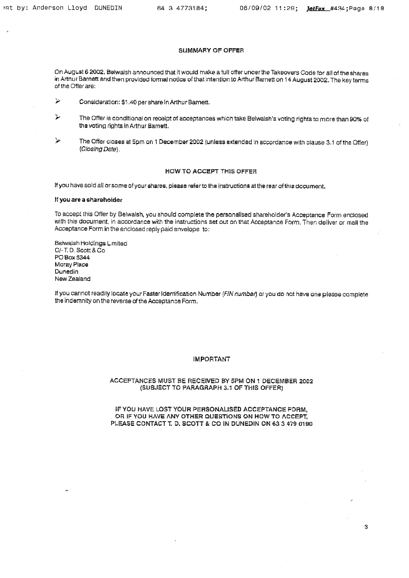# SUMMARY OF OFFER

On August 6 2002, Belwalsh announced that it would make a full offer unoer the Takeovers Code for all of the shares in Arthur Barnett and then provided formal notice of that intention to Arthur Barnett on 14 August 2002. The key terms of the Offer are:

> Consicieration; \$1,40pershareInArthurBarnert,

- ^ The Offer is conditional on receipt ol acceptances w/hich lake Belwalsh's voting rights ta more than 90% of the voting rights in Arthur Barnatt,
- $\blacktriangleright$  The Offer closes at 5pm on 1 December 2002 (unless extended in accordance with clause 3.1 of the Offer) (Closing Date).

# HOW TO ACCEPT THIS OFFER

If you have sold all or some of your shares, please refer to the instructions at the rear of this document.

# If youare a shareholder

To accept this Offer by Belwalsh, you should complete the personaiised shareholder's Acceptance Form enclosed with this document, in accordance with the instructions set out on thai Acceptance Farm, Then deliver or mail the Acceptance Form in the enclosed reply paid envelope to:

Belwslsh Holdings L.miled C/-T,D.Scotr&Co PO Box 5344 Moray Place Dunedin New Zealand

If you cannot readily locate your Faster Identification Number (FIN number) or you do not have one please complete the indemnity on the reverse of the Acceptance Form.

# IMPORTANT

# ACCEPTANCES MUST BE RECEIVED BY 5PM ON 1 DECEMBER 2002 (SUBJECT TO PARAGRAPH 3.1 OF THIS OFFER)

# IF YOU HAVE LOST YOUR PERSONAUSED ACCEPTANCE PORM, OR IF YOU HAVE ANY OTHER QUESTIONS ON HOW TO ACCEPT. PLEASE CONTACT T. D. SCOTT & CO iN DUNEDIN ON 63 3 479 0190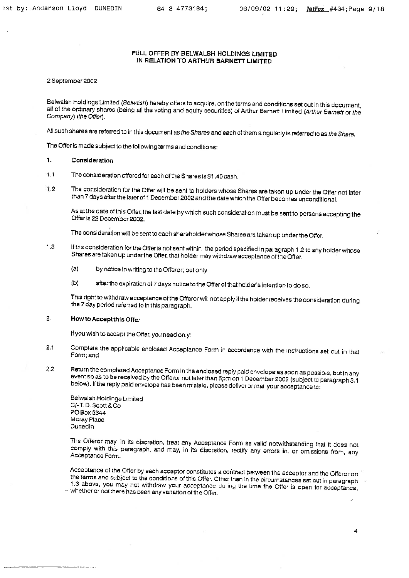# FULL OFFER BY BELWALSH HOLDINGS LIMITED IN RELATION TO ARTHUR BARNETT UMITED

# 2 September 2002

Beiwalsh Holdings Limited (Belwash) hereby offers to acquire, on the terms and conditions set out in this document, all of the ordinary shares (being all the voting and equity securities) of Arthur Barnett Limited (Arthur Barnett or the Company) (the Offer).

All such shares are referred to in this document as the Shares and each of them singularly is referred to as the Share.

The Offer is madesubject to the following terms and conditions:

# 1. Consideration

.1 The consideration offered for eaah of the Shares is \$1.40 cash.

1.2 The consideration for the Offer will be sent to holders whose Shares are taken up under the Offer not later than 7 days after the laier of 1 December 2002 and the date which the Offer becomes unconditional.

As at the date of this Offer, the last date by which such consideration must be sent to persons accepting the Offer is 22 December 2002.

The consideration will be sent to each shareholder whose Shares are taken up under the Offer.

- 1,3 If the consideration for the Offer is nat sent within the period specified in paragraph 1.2 to any holder whose Shares are taken up under the Offer, that holder may withdraw acceptance of the Offer;
	- (a) by notice in writing to the Offeror; but only
	- (b) after the expiration of 7 days notice to the Offer of that holder's intention to do so.

Th:s right to withdraw acceptance of the Offeror will not apply if the holder receives the consideration during the 7 day period referred to in this paragraph,

# 2. How to Accept this Offer

If you wish to accapithe Offer, you nead only

- 2.1 Complete the applicable enclosed Acceptance Form in accordance with the instructions set out in that Form; and
- 2.2 Return the completed Acceptance Form in the enclosed reply paid envelope as soon as possible, but in any event so as to be received by the Offeror not later than 5pm on 1 December 2002 (subject to paragraph 3.1 below). If the reply paid envelope has been mislaid, please deliver or mail your acceptance to:

Belwplsh Holdings Limited C/-T.D. Scott & Co. PO Box 5344 Moray Place Dunedin

The Offeror may, in its discretion, treat any Acceptance Form as valid notwithstanding that it does not comply with this paragraph, and may, in its cliscreticn, rectify any errors in, or omissions from, any Acceptance Fcrm.

Acceptance of the Offer by each acceptor constitutes a contract be'.ween the acceptor and the Offeroron the terms and subject to the conditions of this Offer. Other than in the circumstances set out in paragraph 1.3 above, you may not withdraw your acceptance during the time the Offer is open for acceptance,  $-$  whether or not there has been any variation of the Offer,

4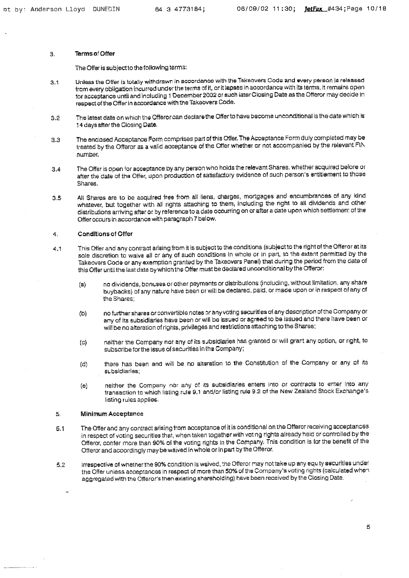# 3, Terms of Offer

The Offer is subject to the following terms:

- 3,1 Unless the Offer is totally withdrawn in accordance with the Takeovers Code and every person Is released from every obligation incurred under the terms of it, or it lapses in accordance with its terms, it remains open lor acceptance'until and including 1 December 2002 or such laier Closing Date as the Ofteror may decide in respect of the Offer in accordance with the Takeovers Code.
- 3,2 The latest date on which ths Qfferoroan declarethe Qffsrto have become unconciitional is the date which is 14 days after the Closing Date.
- 3.3 The enclosed Acceptance Form comprises part of this Offer, The Acceptance Form duly completed maybe treated by the Offeror as a valid acceptance of the Offer whether or not accompanied by the relevant FIN namber.
- 3.4 The Offer is open for acceptance by any person who holds the relevant Shares, whether acquired before or after the date of the Offer, upon production of satisfactory evidence of such person's entitlement to those Shares.
- 3.5 All Shares are to be acquired free from all liens, charges, mortgages and encumbrances of any kind whatever, but together with all rights attaching to them, including the right to all dividends and other distributions arriving after or by reference to a date occurring on or after a date upon which settlemen: of the Otier occurs in accordance with paragraph 7 below.

# 4. Conditions of Offer

- 4.1 This Offer and any contract arising from it is subject to the conditions (subject to the right of the Offeror at its sole discretion to waive all or any of such conditions in whole or in part, to the extent permitted by the Takeovers Code or any exemption granted by the Takeovers Panel) that during the period from the date of this Offer until the last date by which the Offer must be declared unconditional by the Offeror;
	- (a) no dividends, bonuses or other payments or distributions (including, without limitation, any share buybacks) of any nature have been or will be declared, paid, or made upon or in respect of any of the Shares;
	- (b) no further shares or convertible notes or any voting securities of any description of the Company or any of its subsidiaries have been or will be issued or agreed to be issued and there have been or will be no alteration of rights, privileges and restrictions attaching to the Shares;
	- (c) neither the Campany nor any of its subsidiaries has granted or will grant any option, or right, to subscribe for the issue of securities in the Company;
	- (d) there has been and will be no alteration to the Constitution of the Company or any of its St.bsidiaries;
	- (e) neither the Company nar any of its subsidiaries enters inio or contracts to enter into any transaction to which listing rule 9,1 and/or listing rula 8.2 of the New Zealand Stock Exchange's listing rules applies.

# 5. Minimum Acceptance

- 5.1 The Offer and any contract arising from acceptance of it is conditional on the Offeror receiving acceptances in respect of voting securities that, when taken together with voting rights already held or controlled by the Ofteror, conter more than 90% of the voting rights in the Company, This condition is tor the benefit of the Offeror and accordingly may be waived in whole or in part by the Offeror.
- 5.2 Irrespective of whether the 90% condition is waived, the Offeror may not take up any equ ty securities under the Offer unless acceptances in respect of more than 50% of the Company's voting rights (calculated when aggregated with the Offeror's then existing shareholding) have been received by the Closing Date.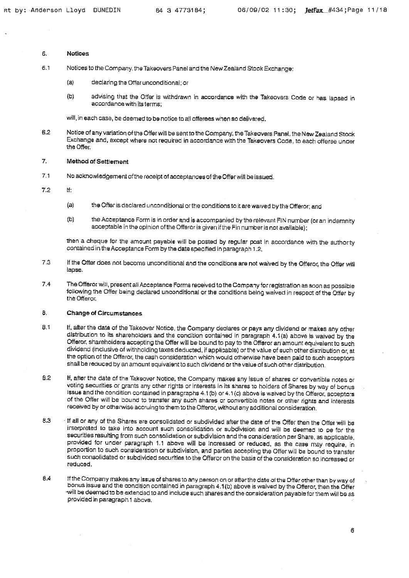### 6. **Notices**

- 6.1 Notices to the Company, the Takeovers Panel and the New Zealand Slach: Exchange;
	- (a) declaring the Offer unconditional; or
	- (b) advising that the Offer is withdrawn in accordance with the Takeovers Code or has lapsed in accordance with its terms;

will, in each case, be deemed to bs notice to all offerees w'nen so delivared.

6.2 Notice of any variation of the Offer will be sent to the Company, the Takeovers Panel, the New Zealand Stock Exchange and, except whsre noi required in accordance with the Takeovers Code, to each offeree uncer the Offer.

### 7. Method af Settlement

- 7.1 No acknowledgement of the receipt of acceptances of the Offer will be issued.
- 7.2 If:
	- (a) the Offer IB declared uncanditional or the conditions to it are waived by the Offeror; and
	- (b) the Acceptancs Form is in order and is accompanied by the relevant FIN number (or an indemnity acceptable in the opinion of the Offeror is given if the Fin number is not available);

then a cheque for the amount payable will be posted by regular post in accordance with the authorty contained in theAcceptance Form by the date spsclfieci in paragraph 1.2.

- 7,3 If the Offer does not become unconditional and the conditions are not waived by the Offeror, the Offer will lapse.
- 7,4 The Offeror will, present all Acceptance Forms received to the Campany for registration as soon as possible following the Offer being declared unconditional or the conditions being waived in respect of the Offer by the Offeror.

### 8, Change of Circumstances

- 8,1 If, after the date of the Takeover Notice, the Company declares or pays any dividend or makes any other distribution to its shareholders and the condition contained in paragraph 4.1(a) above is waived by the Offeror, shareholders accepting the Offer will be bound to pay to the Offeror an amount equivalent to such dividend (inclusive of withholding taxes deducted, if applicable) or the value of such other distribution or, at the option of the Offeror, the cash consideration which would otherwise have been paid to such acceptors shall be reduced by an amount equivalsnr to such dividend or the value of such other distribution.
- B.2 If, after the date of the Tgksover Notice, the Company makes any issue of shares or convertible notes or voting securities or grants any other rights or interests in its shares to holders of Shares by way of bonus issue and the condition contained in paragraphs 4.1 (b) or 4.1 (c) above is waived by the Offeror, acceptors of The Offer will be bound to transter any such shares or convertible noles or other rights and interests received by or otherwise accruing to them to the Offeror, without any additional consideration.
- 8.3 - if all Qf any of the Shares are corsolidated or subdivided after the date of the Offer then the Offer will be interpreted to take into account such consolidation or subdivision and will be deemed to oe for the securities resulting from such consolidation or subdivision and the consideration per Share, as applicable. pravjded for under paragraph 1,1 above will be increased or reduced, as the case may require, in proportion to such consideration or subdivision, and parties accepting the Offer will ba bound to transfer such consolidated or subdivided securities to the Offeror on the basis of the consideration so increased or reduced.
- 6.4 tflhe Company makes any issue of shares 10 any person on or afterthe date of the Dffer other than by way of bonus issue and the condition contained in paragraph 4.1(b) above is waived by the Offeror, then the Offer will be deemed to be extended to and include such shares and the consideration payable for them will be as provided in paragraph 1 above,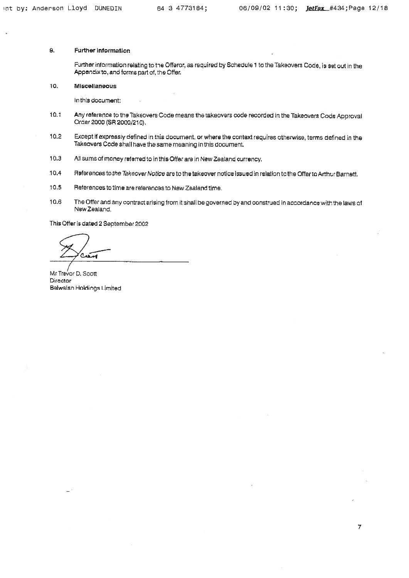# &. Further Information

Further information relating to the Offeror, as required by Schedule 1 to the Takeovers Code, is set out in the Appendix to, and forms part of, the Offer,

10. Miscellaneous

In this document:

- 10.1 Any reference to Ihs Takeovers Code means the Taksovsrs cods recorded in the Takeovers Code Approval Order 2000 (SR 2000/210).
- 10.2 Except if expressly defined in this document, or where the context requires otherwise, terms defined in the Takeovers Code shall have the same meaning in this document,
- 10.3 All sums of money reterred to in this Offer are in New Zealand currency,
- .10.4 Flaterences to the Takeover Notice are to the takeover notice issued in relation to the Offer to Arthur Barnett,
- 10.5 References to time are raterencss to New Zealand time.
- 10.6 The Offer and any contract arising from it shall be governed by and construed In accordance with the laws of New Zealand.

This Offer is dated 2 September 2002

 $\sim$ f

Mr Trevor D. Scott Director Belwalsh Holdings Limited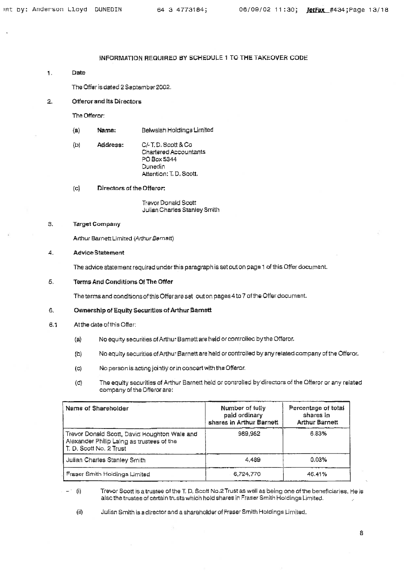# INFORMATION REQUIRED BY SCHEDULE 1 TO THE TAKEOVER CODE

1, Date

The Offer is dated 2 September 2002.

2. Offeror and Its Directors

The Offeror:

- (a) Name: Belwalsh Holdings Limited
- (b) Address: C/.T.D.Scott&Co Chartered Accountants PO Box 5344 **Dunedin** Attention: T, D, Scott,

(c) Directors of the Offeror:

Travor Donald Scott Julian Charles Stanley Smith

### 3. Target Company

Arthur Barnett Limited (Arthur Barnett)

### 4, Advice Statement

The advice statement required under this paragraph is set out on page 1 of this Offer document.

### 5, Terms And Conditions Of The Offer

The terms and conditions of this Offer are set out on pages 4 to 7 of the Offer document.

### 6. Ownership of Equity Securities of Arthur Bgrnett

- 6,1 Atthe date ofthis Offer:
	- (a) No equity securities of Arthur Barnstt are held or coniroltec byihe Offeror.
	- (b} No equiiy securities ofArthu- Barnettare held or controllad by any related company of the Offeror.
	- (c) No person is acting jointly or in concert with the Offeror.
	- (c) The equity securities of Arthur Barnett held or controlled by directors of the Offeror or any related company of the Offeror are;

| Name of Shareholder                                                                                                  | Number of fully<br>paid ordinary<br>shares in Arthur Barnett | Percentage of total<br>shares in<br><b>Arthur Barnett</b> |
|----------------------------------------------------------------------------------------------------------------------|--------------------------------------------------------------|-----------------------------------------------------------|
| Trevor Donald Scott, David Houghton Wale and<br>Alexander Philip Laing as trustees of the<br>T. D. Scott No. 2 Trust | 989,952                                                      | 6.83%                                                     |
| Julian Charles Stanley Smith                                                                                         | 4,489                                                        | 0.03%                                                     |
| Fraser Smith Holdings Limited                                                                                        | 6,724,770                                                    | 46.41%                                                    |

(i) Trevor Scott is a trustee of the T, D, Scott No.2 Trust as well as being one of the beneficiaries. He is alse the trustee of certain trusts which hold shares in Fraser Smith Holdings Limited.

(ii) Julian Smith is a director and a shareholder ofFraser Smith Holdings Umitecl.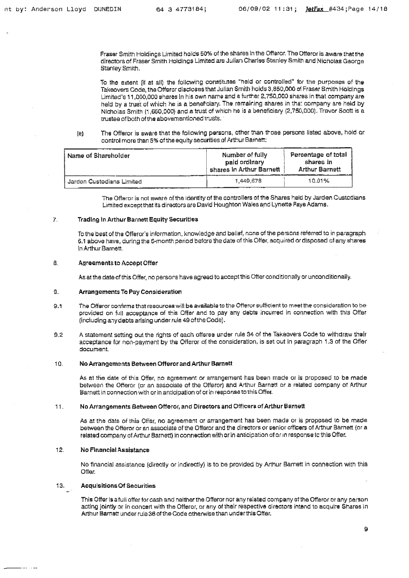Fraser Smith Holdings Limited holds 50% of the shares in the Offeror. The Offeror is aware that the directors of Fraser Smith Holdings Limited are Julian Charles Stanley Smith and Nicholas George Stanley Smith.

To the extent (ii at all) the following constitures "held or controlled" for the purposes of the Takeovers Code, the Offeror discloses that Julian Smith holds 3,850,000 of Fraser Smith Holdings Limited's 11,000,000 shares In his own name and a further £,7SO,OQO shares in that company are held by a trust of which he is a beneficiary. The remaining shares in thar company are held by Nicholas Smith (1,650,000) and a trust of which he is a beneficiary (2,750,000). Treyor Bcatt is a trustee of both of the abovementioned trusts.

(8) The Offeror is aware that the following persons, other than those persons listed above, hold or control more than 5% of the equity securities of Arthur Barnett:

| Name of Shareholder       | Number of fully<br>paid ordinary<br>shares in Arthur Barnett | Percentage of total<br>shares in<br><b>Arthur Barnett</b> |
|---------------------------|--------------------------------------------------------------|-----------------------------------------------------------|
| Jarden Custodians Limited | 1.449.678                                                    | 10.01%                                                    |

The Offeror is not aware of the identity of the controllers of the Shares held by Jarden Custodians Limited except that its directors are David Houghton Wales and Lynstis Fays Adams,

# 7. Trading In Arthur Barnett Equity Securities

To the best of the Offeror's information, knowledge and belief, none of the persons referred to in paragraph 6.1 above have, during the 6-month period before the date of this Offer, acquired or disposed at any shares in Arthur Bgrnett.

# 8. Agreements to Accept Offer

As at the date of this Offer, no persors have agreed to accept this Offer conditionally or unconditionally.

# 9. Arrangements To Pay Consideration

- 9.1 The Offeror confirms that resources will be available to the Offeror sufficient to meet the consideration to be provided on full acceptance of this Offer and to pay any debts incurred in connection with this Offer (inciuding any debts arising under rule 49 of the Code),
- 9.2 A statement setting out the rights of each offeree under rule 34 of the Takeovers Code to withdraw their acceptance for non-payment by the Offeror of the consideration, is set out in paragraph 1.3 of the Offer document.

# 10. No Arrangements Between Offeror and Arthur Barnett

As at the date of this Offer, no agreement or arrangement has been made or is proposed to be made between the Offeror (or an associate of the Offeror) and Arthur Barnstt or a rstared company of Arthur Barnett in connection with or in anticipation of or in response to this Offer.

# 1. No Arrangements Setween Offeror, and Directors and Officers of Arthur Barnetf

As at the date of this Offer, no agreement or arrangement has been made or is proposed to be made between the Offeror or an associate of the Offeror and the directors or senior officers of Arthur Barnett (or a related company of Arthur Barnert) in connection with or in anticipation of artin response to this Offer.

# 12. No Financial Assistance

No financial assistance (directly or indirectly) is to be provided by Anhur Barnett in connection with this Offer.

# 13. Acquisitions Of Securities

ووالمسترد والمستنقذ

This Offer is a full offer for cash and neither the Offeror nor any reiated company otthe Offeror or any person acting jointly or in concert with the O+feror, or any of their respective directors intend to acquire Shares in Arthur Barnstt under rule 36 of the Code otherwise than under this Offer.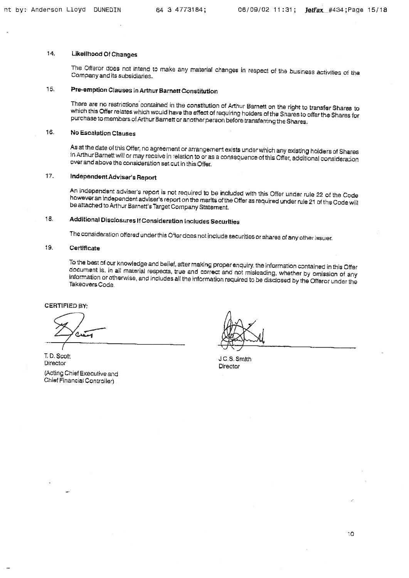# 14. Likelihood Of Changes

The Offeror does not intend to make any material changes in respect of the business activities of the Company and its subsidiaries.

# 15, Preemption Clauses In Arthur Barnett Constitution

There are no restrictions contained in the constilution of Arthur Barnett on the right to transfsr Shares to which this Offer relates which would have the effect of requiring holders of the Shares to offer the Shares for purchase to members of Arthur Barnett or another person before transferring the Shares.

# 16, No Escalation Clauses

As at the date of this Offer, no agreement or arrangement exists undar which any existing holders of Shares in Arthur Bamstt will or may receive in relazion to or as s consequence of this Offer, additional consideradon over and above the consideration set out in this Offer,

# 17. Independent Advisgr' s Report

An independent adviser's report is not required to be included with this Offer under rule 22 of the Code however an independent adviser's report on the merits of the Offer as requireci under rule 21 of the Code wil! be attached to Arthur Barnett's Target Company Statement.

# 18, Additions) Disclosure& If Consideration Includes Securities

The consideration offered under this Offer does not include securities or shares of any other issuer,

# 19. Certificate

To the best of our knowledge and belief, after making proper enquiry, the information contained in this Offer document is, in all material respecis, true and correcr and not misleading, whether by omission of any information or athsrwise, and includes alt the information required to be disdassd by the Offeror under the Takeovers Code.

CERTIFIED BY;

متعت  $\mathcal{I}$ 

ID. Scott Director (Acting Chisf Executive and

Chief Financial Controlte'-)

 $\nabla\mathbf{\nabla}$ 

J.C.S.Smixh Director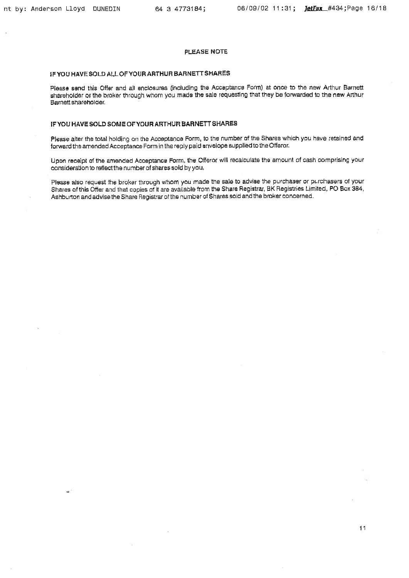# PLEASE NOTE

# IFYOU HAVE SOLD ALL OFYOURARTHURBARNEFTSHARES

Piease send this Offer and all enclosures (including the Acceptance Form) at once to the new Arthur Barnett shareholder or the broker through whom you made the sale requesting that they be forwarded to the new Arthur Barnett shareholder.

# IFYOU HAVE SOLD SOME OFYDUR ARTHUR BARNETT SHARES

Please alter the total holding on the Acceptance Form, to the number of the Shares which you have retained and forward the amended Acceptance Form in the reply paid envelope supplied to the Offeror,

Upon recaipt of the amended Acceptance Form, the Offeror will recalculate the amount of cash comprising your consideration to reflectthe number of shares sold by you,

Please also request the broker through whom you made the sale to advise the purchaser or purchasers of your Shares of this Offer and that copies of it are available from the Share Registrar, BK Registries Limited, PO Box 384, Ashburton and advise the Share Registrar of the number of Shares sold and the broker concerned.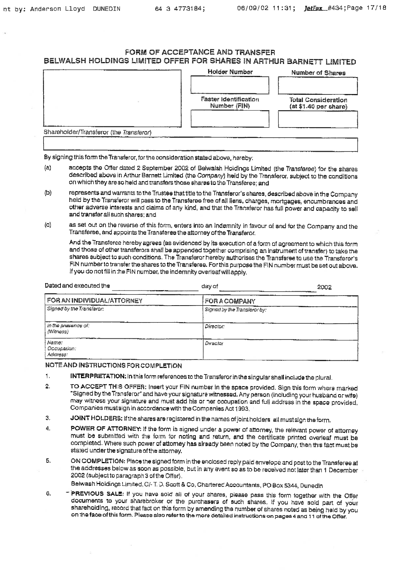# FORM OF ACCEPTANCE AND TRANSFER BELWALSH HOLDINGS LIMITED OFFER FOR SHARES IN ARTHUR BARNETT LIMITED

|                                         | Holder Number                         | Number of Shares                                    |
|-----------------------------------------|---------------------------------------|-----------------------------------------------------|
|                                         | Faster Identification<br>Number (FIN) | <b>Total Consideration</b><br>(at \$1.40 per share) |
| Shareholder/Transferor (the Transferor) |                                       |                                                     |

By signing this form the Transferor, for the consideration stated above, hereby:

- (a) accepts the Offer dated 2 September 2002 of Belwalsh Holdings Limited (the Transferee) for the shares described above in Arthur Barnett Limited (the Company) held by the Transferor, subject to the conditions on which They are so held and Transfers those shares to the Transferee; and
- (b) represents and warrants to the Trustee that title to the Transferor's shares, described above in the Company held by the Transferor will pass to the Transfaree free of all liens, charges, mortgages, encumbrances and other adverse interests and claims of any kind, and thai the Transfsror has full power and capacity to sail and transfer all such shares; and
- (c) as set out on the reverse of this form, enters into an indemnity in favour of and for the Company and the Transferee, and appoints the Transferee the attorney oftheTransferor,

And the Transferee hereby agrees (as avidenced by its execution of a form of agreement to which this form and those of other transferors shall be appended together comprising an instrument of transfer) to take the shares subject to such conditions. The Transferor hereby authorises the Transferee to use the Transferor's FIN number to transfer the shares to the Transferee. Forthis purposathe FIN number must be set out above. If you do not fill in the FIN number, the indemnity overleafwillapply,

| Dated and executed the           | day of                       | 2002 |
|----------------------------------|------------------------------|------|
| FOR AN INDIVIDUAL/ATTORNEY       | <b>FOR A COMPANY</b>         |      |
| Signad by the Translaror:        | Signed by the Transferor by: |      |
| in the presence of:<br>(Witness) | Director:                    |      |
| Name:<br>Occupation:<br>Address: | Director                     |      |

# NOTE AND INSTRUCTIONS FOR COMPLETION

- 1, INTERPRETATION; In this form references to the Transferor in the singular shall include the plural.
- 2, TO ACCEPT TH!S OFFER; Insert your FIN number in the space provided. Sign this form where marked 'Signed bytheTransferor" and have your sisnaturs witnessed. Any person (including your husband orwrfs) may witness your signature and must add his or ner occupation and full address in the space provided, Companies mustsign in accordance with the Companies Act 1993,
- 3. JOINT HOLDERS: If the shares are registered in the names of joint holders all must sign the form,
- 4. POWER OF ATTORNEY: If the form is signed under a power of attorney, the relevant powsr of attorney must be submitted with the form for noting and return, and the certificate printed overleaf must be completed. Where such power of attorney has already been noted by the Company, then th's fact must be staled under the signature of the attorney.
- 5. ON COMPLETION: Place the signed form in the enclosed reply paid envelope and post to the Transferee at the addresses below as soon as possible, but in any event so as to be received not later than 1 December 2002 (subject to paragraph 3 of the Offer).

Beiwash Holdings Limited, C/-T, D, Scott & Co, Charterec Accountants, PO Box 5344, Dunedln

6. PREVIOUS SALE; If you have sold all of your shares, please pass this form togsthar with the Offer documents to your sharebroker or the purchasers of such shares. If you have sold part of your shareholding, record that fact on this form by amending the number of shares noted as being held by you on the face of this form. Please also refer to the more detailed instructions on pages 4 and 11 uf the Offer.